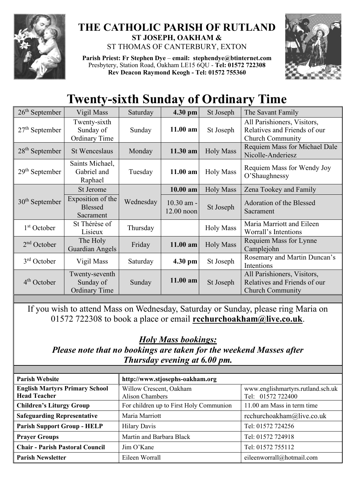

## **THE CATHOLIC PARISH OF RUTLAND ST JOSEPH, OAKHAM &**  ST THOMAS OF CANTERBURY, EXTON

**Parish Priest: Fr Stephen Dye** – **[email: stephendye@btinternet.com](mailto:email:%20%20stephendye@btinternet.com)** Presbytery, Station Road, Oakham LE15 6QU - **Tel: 01572 722308 Rev Deacon Raymond Keogh - Tel: 01572 755360**



## **Twenty-sixth Sunday of Ordinary Time**

| $26th$ September | Vigil Mass                                          | Saturday  | 4.30 pm                      | St Joseph        | The Savant Family                                                                      |
|------------------|-----------------------------------------------------|-----------|------------------------------|------------------|----------------------------------------------------------------------------------------|
| $27th$ September | Twenty-sixth<br>Sunday of<br><b>Ordinary Time</b>   | Sunday    | 11.00 am                     | St Joseph        | All Parishioners, Visitors,<br>Relatives and Friends of our<br><b>Church Community</b> |
| $28th$ September | <b>St Wenceslaus</b>                                | Monday    | 11.30 am                     | <b>Holy Mass</b> | Requiem Mass for Michael Dale<br>Nicolle-Anderiesz                                     |
| $29th$ September | Saints Michael,<br>Gabriel and<br>Raphael           | Tuesday   | 11.00 am                     | <b>Holy Mass</b> | Requiem Mass for Wendy Joy<br>O'Shaughnessy                                            |
| $30th$ September | St Jerome                                           | Wednesday | $10.00$ am                   | <b>Holy Mass</b> | Zena Tookey and Family                                                                 |
|                  | Exposition of the<br>Blessed<br>Sacrament           |           | $10.30$ am -<br>$12.00$ noon | St Joseph        | Adoration of the Blessed<br>Sacrament                                                  |
| $1st$ October    | St Thérèse of<br>Lisieux                            | Thursday  |                              | <b>Holy Mass</b> | Maria Marriott and Eileen<br>Worrall's Intentions                                      |
| $2nd$ October    | The Holy<br>Guardian Angels                         | Friday    | 11.00 am                     | <b>Holy Mass</b> | Requiem Mass for Lynne<br>Camplejohn                                                   |
| $3rd$ October    | Vigil Mass                                          | Saturday  | 4.30 pm                      | St Joseph        | Rosemary and Martin Duncan's<br>Intentions                                             |
| $4th$ October    | Twenty-seventh<br>Sunday of<br><b>Ordinary Time</b> | Sunday    | 11.00 am                     | St Joseph        | All Parishioners, Visitors,<br>Relatives and Friends of our<br><b>Church Community</b> |

If you wish to attend Mass on Wednesday, Saturday or Sunday, please ring Maria on 01572 722308 to book a place or email **[rcchurchoakham@live.co.uk](mailto:rcchurchoakham@live.co.uk)**.

## *Holy Mass bookings:*

*Please note that no bookings are taken for the weekend Masses after Thursday evening at 6.00 pm.*

| <b>Parish Website</b>                                        | http://www.stjosephs-oakham.org                   |                                                        |  |  |
|--------------------------------------------------------------|---------------------------------------------------|--------------------------------------------------------|--|--|
| <b>English Martyrs Primary School</b><br><b>Head Teacher</b> | Willow Crescent, Oakham<br><b>Alison Chambers</b> | www.englishmartyrs.rutland.sch.uk<br>Tel: 01572 722400 |  |  |
| <b>Children's Liturgy Group</b>                              | For children up to First Holy Communion           | 11.00 am Mass in term time                             |  |  |
| <b>Safeguarding Representative</b>                           | Maria Marriott                                    | rcchurchoakham@live.co.uk                              |  |  |
| <b>Parish Support Group - HELP</b>                           | <b>Hilary Davis</b>                               | Tel: 01572 724256                                      |  |  |
| <b>Prayer Groups</b>                                         | Martin and Barbara Black                          | Tel: 01572 724918                                      |  |  |
| <b>Chair - Parish Pastoral Council</b>                       | Jim O'Kane                                        | Tel: 01572 755112                                      |  |  |
| <b>Parish Newsletter</b>                                     | Eileen Worrall                                    | eileenworrall@hotmail.com                              |  |  |